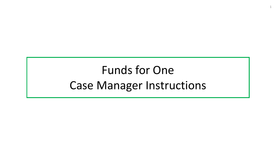# Funds for One Case Manager Instructions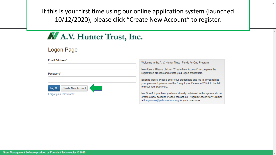If this is your first time using our online application system (launched 10/12/2020), please click "Create New Account" to register.

## A A.V. Hunter Trust, Inc.

## Logon Page

| Email Address* |                       |  |  |
|----------------|-----------------------|--|--|
|                |                       |  |  |
| Password*      |                       |  |  |
|                |                       |  |  |
| Log On         | Create New Account    |  |  |
|                | Forgot your Password? |  |  |

Welcome to the A. V. Hunter Trust - Funds for One Program.

New Users: Please click on "Create New Account" to complete the registration process and create your logon credentials.

Existing Users: Please enter your credentials and log in. If you forgot your password, please use the "Forgot your Password?" link to the left to reset your password.

Not Sure? If you think you have already registered in the system, do not create a new account. Please contact our Program Officer Kary Cramer at karycramer@avhuntertrust.org for your username.

 $\overline{2}$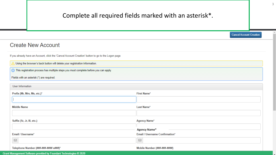## Complete all required fields marked with an asterisk\*.

**Cancel Account Creation** 

#### **Create New Account**

If you already have an Account, click the 'Cancel Account Creation' button to go to the Logon page

Using the browser's back button will delete your registration information.

(f) This registration process has multiple steps you must complete before you can apply.

Fields with an asterisk (\*) are required.

| User Information                      |                                |
|---------------------------------------|--------------------------------|
| Prefix (Mr, Mrs, Ms, etc.)*           | <b>First Name*</b>             |
|                                       |                                |
| <b>Middle Name</b>                    | Last Name*                     |
|                                       |                                |
| Suffix (Sr, Jr, III, etc.)            | <b>Agency Name*</b>            |
|                                       | <b>Agency Name*</b>            |
| Email / Username*                     | Email / Username Confirmation* |
| $\quad \  \  \, \boxdot$              | $\quad \  \  \, \boxdot$       |
| Telephone Number (###-###-#### x###)* | Mobile Number (###-###-####)   |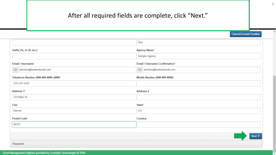## After all required fields are complete, click "Next."

**Cancel Account Creation** 

|                                       | Doe                            |
|---------------------------------------|--------------------------------|
| Suffix (Sr, Jr, III, etc.)            | <b>Agency Name*</b>            |
|                                       | Sample Agency                  |
| Email / Username*                     | Email / Username Confirmation* |
| □ johndoe@testtestemail.com           | iohndoe@testtestemail.com      |
| Telephone Number (###-###-#### x###)* | Mobile Number (###-###-####)   |
| 333-333-3333                          |                                |
| Address <sub>1</sub> *                | <b>Address 2</b>               |
| 333 Main St.                          |                                |
| City*                                 | State*                         |
| Denver                                | CO                             |
| Postal Code*                          | Country                        |
| 80217                                 |                                |
|                                       |                                |
|                                       | Next >                         |
| Password                              |                                |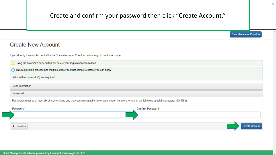## Create and confirm your password then click "Create Account."

**Cancel Account Creation** 

#### **Create New Account**

If you already have an Account, click the 'Cancel Account Creation' button to go to the Logon page

Using the browser's back button will delete your registration information.

(f) This registration process has multiple steps you must complete before you can apply.

|  |  | Fields with an asterisk (*) are required |  |  |  |
|--|--|------------------------------------------|--|--|--|
|--|--|------------------------------------------|--|--|--|

| User Information                                                                                                                                              |                       |
|---------------------------------------------------------------------------------------------------------------------------------------------------------------|-----------------------|
| Password                                                                                                                                                      |                       |
| Passwords must be at least six characters long and may contain capital or lowercase letters, numbers, or any of the following special characters: $@$ #\$%*() |                       |
| Password*                                                                                                                                                     | Confirm Password*     |
|                                                                                                                                                               |                       |
| < Previous                                                                                                                                                    | <b>Create Account</b> |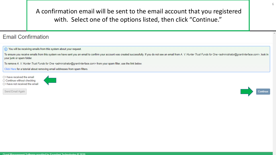A confirmation email will be sent to the email account that you registered with. Select one of the options listed, then click "Continue."

### **Email Confirmation**

(i) You will be receiving emails from this system about your request.

To ensure you receive emails from this system we have sent you an email to confirm your account was created successfully. If you do not see an email from A. V. Hunter Trust Funds for One <administrator@grantinterface.com>, your junk or spam folder.

To remove A. V. Hunter Trust Funds for One <administrator@grantinterface.com> from your spam filter, use the link below.

Click Here for a tutorial about removing email addresses from spam filters.

O I have received the email ○ Continue without checking O I have not received the email



Send Email Again

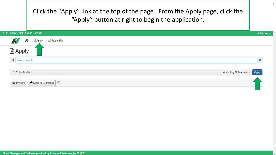Click the "Apply" link at the top of the page. From the Apply page, click the "Apply" button at right to begin the application.

| A. V. Hunter Trust - Funds For One              | John Doe-                      |
|-------------------------------------------------|--------------------------------|
| ∧<br><u>目 Apply</u><br>l圙 Fax to File<br>W      |                                |
| <b>Apply</b>                                    |                                |
| Q   Quick Search                                | $\times$                       |
| 2020 Application                                | Accepting Submissions<br>Apply |
| Send to GrantHub <b>(i)</b><br><b>O</b> Preview |                                |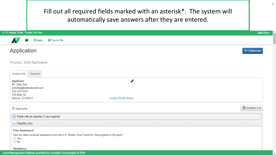| Fill out all required fields marked with an asterisk*. The system will<br>automatically save answers after they are entered.                                    | $\,8\,$                       |
|-----------------------------------------------------------------------------------------------------------------------------------------------------------------|-------------------------------|
| A. V. Hunter Trust - Funds For One                                                                                                                              | John Doe-                     |
| <b>■ Apply</b><br>lla Fax to File                                                                                                                               |                               |
| Application                                                                                                                                                     | <b>&amp;&amp; Collaborate</b> |
| Process: 2020 Application                                                                                                                                       |                               |
| Contact Info<br>Request                                                                                                                                         |                               |
| ◢<br><b>Applicant:</b><br>Mr. John Doe<br>johndoe@testtestemail.com<br>333-333-3333<br>333 Main St.                                                             |                               |
| Denver, CO 80217<br><b>Contact Email History</b>                                                                                                                |                               |
| Application                                                                                                                                                     | <b>A</b> Question List        |
| (i) Fields with an asterisk (*) are required.                                                                                                                   |                               |
| $\vee$ Eligibility Quiz                                                                                                                                         |                               |
| <b>Prior Assistance*</b><br>Has the client received assistance from the A.V. Hunter Trust Funds for One program in the past?<br>$\bigcirc$ Yes<br>$\bigcirc$ No |                               |
| Residency*<br>Grant Management Software provided by Foundant Technologies @ 2020                                                                                |                               |

П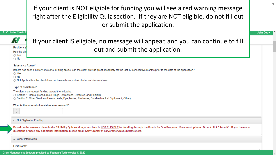If your client is NOT eligible for funding you will see a red warning message right after the Eligibility Quiz section. If they are NOT eligible, do not fill out or submit the application.

#### A. V. Hunter Trust - I



**Residency** 

Has the clie  $\bigcirc$  Yes  $\bigcirc$  No

If your client IS eligible, no message will appear, and you can continue to fill out and submit the application.

#### Substance Abuse\*

If there has been a history of alcohol or drug abuse, can the client provide proof of sobriety for the last 12 consecutive months prior to the date of the application?

◯ Yes

 $\bigcirc$  No

○ Not Applicable - the client does not have a history of alcohol or substance abuse

#### Type of assistance\*

The client may request funding toward the following:

○ Section 1: Dental procedures (Fillings, Extractions, Dentures, and Partials).

○ Section 2: Other Services (Hearing Aids, Eyeglasses, Protheses, Durable Medical Equipment, Other).

#### What is the amount of assistance requested?\*

\$

#### $\vee$  Not Eligible for Funding

Based on the answers given in the Eligibility Quiz section, your client is NOT ELIGIBLE for funding through the Funds for One Program. You can stop here. Do not click "Submit". If you have any questions or need any additional information, please email Kary Cramer at karycramer@avhuntertrust.org.

#### $\vee$  Client Information

**First Name\*** 

John Doe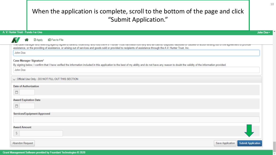## When the application is complete, scroll to the bottom of the page and click "Submit Application."

| ᆯ Apply<br>lla Fax to File<br>ಣ<br><u>me case manager and relemny agency agree to delend, muemmy, and not ule A.v. munter must namiless nomi any and air damis, disputes, nabilities or causes or action ansing out or the agreement to provide</u><br>assistance, or the providing of assistance, or arising out of services and goods sold or provided to recipients of assistance through the A.V. Hunter Trust, Inc.<br>John Doe<br>Case Manager Signature*<br>By signing below, I confirm that I have verified the information included in this application to the best of my ability and do not have any reason to doubt the validity of the information provided.<br>John Doe |
|--------------------------------------------------------------------------------------------------------------------------------------------------------------------------------------------------------------------------------------------------------------------------------------------------------------------------------------------------------------------------------------------------------------------------------------------------------------------------------------------------------------------------------------------------------------------------------------------------------------------------------------------------------------------------------------|
|                                                                                                                                                                                                                                                                                                                                                                                                                                                                                                                                                                                                                                                                                      |
|                                                                                                                                                                                                                                                                                                                                                                                                                                                                                                                                                                                                                                                                                      |
|                                                                                                                                                                                                                                                                                                                                                                                                                                                                                                                                                                                                                                                                                      |
|                                                                                                                                                                                                                                                                                                                                                                                                                                                                                                                                                                                                                                                                                      |
|                                                                                                                                                                                                                                                                                                                                                                                                                                                                                                                                                                                                                                                                                      |
|                                                                                                                                                                                                                                                                                                                                                                                                                                                                                                                                                                                                                                                                                      |
| $\vee$ Official Use Only - DO NOT FILL OUT THIS SECTION                                                                                                                                                                                                                                                                                                                                                                                                                                                                                                                                                                                                                              |
| <b>Date of Authorization</b>                                                                                                                                                                                                                                                                                                                                                                                                                                                                                                                                                                                                                                                         |
| 首                                                                                                                                                                                                                                                                                                                                                                                                                                                                                                                                                                                                                                                                                    |
| <b>Award Expiration Date</b>                                                                                                                                                                                                                                                                                                                                                                                                                                                                                                                                                                                                                                                         |
| Ö                                                                                                                                                                                                                                                                                                                                                                                                                                                                                                                                                                                                                                                                                    |
| <b>Services/Equipment Approved</b>                                                                                                                                                                                                                                                                                                                                                                                                                                                                                                                                                                                                                                                   |
|                                                                                                                                                                                                                                                                                                                                                                                                                                                                                                                                                                                                                                                                                      |
| <b>Award Amount</b>                                                                                                                                                                                                                                                                                                                                                                                                                                                                                                                                                                                                                                                                  |
| \$                                                                                                                                                                                                                                                                                                                                                                                                                                                                                                                                                                                                                                                                                   |
| Abandon Request<br><b>Submit Application</b><br>Save Application                                                                                                                                                                                                                                                                                                                                                                                                                                                                                                                                                                                                                     |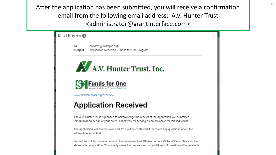After the application has been submitted, you will receive a confirmation email from the following email address: A.V. Hunter Trust <administrator@grantinterface.com>

| Email Preview 1 |                                                                                                                                                                                                                  |  |
|-----------------|------------------------------------------------------------------------------------------------------------------------------------------------------------------------------------------------------------------|--|
| To<br>Subject   | preview@example.org<br>Application Received - Funds for One Program                                                                                                                                              |  |
|                 | AV A.V. Hunter Trust, Inc.                                                                                                                                                                                       |  |
|                 | <b>S</b> Funds for One                                                                                                                                                                                           |  |
|                 | www.avhuntertrust.org/overview                                                                                                                                                                                   |  |
|                 | <b>Application Received</b>                                                                                                                                                                                      |  |
|                 | The A.V. Hunter Trust is pleased to acknowledge the receipt of the application you submitted<br>09/23/2020 on behalf of your client. Thank you for serving as an advocate for this individual.                   |  |
|                 | The application will now be reviewed. You will be contacted if there are any questions about the<br>information submitted.                                                                                       |  |
|                 | You will be notified when a decision has been reached. Please do not call the office to check on the<br>status of an application. This simply slows the process and no additional information will be available. |  |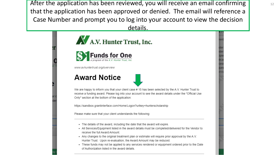After the application has been reviewed, you will receive an email confirming that the application has been approved or denied. The email will reference a Case Number and prompt you to log into your account to view the decision

details.



Please make sure that your client understands the following:

- . The details of the award, including the date that the award will expire.
- . All Services/Equipment listed in the award details must be completed/delivered for the Vendor to receive the full Award Amount.
- Any changes to the original treatment plan or estimate will require prior approval by the A.V. Hunter Trust. Upon re-evaluation, the Award Amount may be reduced.
- . These funds may not be applied to any services rendered or equipment ordered prior to the Date of Authorization listed in the award details.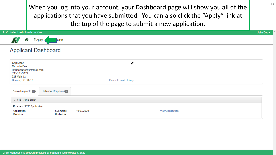When you log into your account, your Dashboard page will show you all of the applications that you have submitted. You can also click the "Apply" link at the top of the page to submit a new application.

| A. V. Hunter Trust - Funds For One                                                                                                                 | John Doe- |
|----------------------------------------------------------------------------------------------------------------------------------------------------|-----------|
| ∧<br>目Apply<br>to File                                                                                                                             |           |
| <b>Applicant Dashboard</b>                                                                                                                         |           |
| <b>Applicant:</b><br>Mr. John Doe<br>johndoe@testtestemail.com<br>333-333-3333<br>333 Main St.<br>Denver, CO 80217<br><b>Contact Email History</b> |           |
| Historical Requests (0)<br>Active Requests (1)                                                                                                     |           |
| $\sqrt{415}$ - Jane Smith                                                                                                                          |           |
| Process: 2020 Application<br>Application<br>10/07/2020<br><b>View Application</b><br>Submitted<br>Decision<br>Undecided                            |           |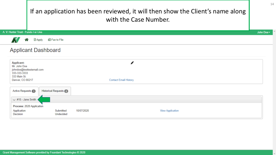|                                                                                                                    |                              |            | If an application has been reviewed, it will then show the Client's name along<br>with the Case Number. | 14        |
|--------------------------------------------------------------------------------------------------------------------|------------------------------|------------|---------------------------------------------------------------------------------------------------------|-----------|
| V. Hunter Trust - Funds For One                                                                                    |                              |            |                                                                                                         | John Doe- |
| 目Apply                                                                                                             | lla Fax to File              |            |                                                                                                         |           |
| <b>Applicant Dashboard</b>                                                                                         |                              |            |                                                                                                         |           |
| <b>Applicant:</b><br>Mr. John Doe<br>johndoe@testtestemail.com<br>333-333-3333<br>333 Main St.<br>Denver, CO 80217 |                              |            | v<br><b>Contact Email History</b>                                                                       |           |
| Active Requests (1)                                                                                                | <b>Historical Requests</b> 0 |            |                                                                                                         |           |
| $\vee$ #15 - Jane Smith                                                                                            |                              |            |                                                                                                         |           |
| Process: 2020 Application                                                                                          |                              |            |                                                                                                         |           |
| Application<br>Decision                                                                                            | Submitted<br>Undecided       | 10/07/2020 | <b>View Application</b>                                                                                 |           |

ш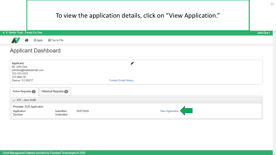|                                                                                                                    |                                |            | To view the application details, click on "View Application." | 15        |
|--------------------------------------------------------------------------------------------------------------------|--------------------------------|------------|---------------------------------------------------------------|-----------|
| V. Hunter Trust - Funds For One                                                                                    |                                |            |                                                               | John Doe- |
| <u>目 Apply</u>                                                                                                     | lla Fax to File                |            |                                                               |           |
| <b>Applicant Dashboard</b>                                                                                         |                                |            |                                                               |           |
| <b>Applicant:</b><br>Mr. John Doe<br>johndoe@testtestemail.com<br>333-333-3333<br>333 Main St.<br>Denver, CO 80217 |                                |            | ◢<br><b>Contact Email History</b>                             |           |
| Active Requests (1)                                                                                                | <b>Historical Requests (0)</b> |            |                                                               |           |
| $\vee$ #15 - Jane Smith                                                                                            |                                |            |                                                               |           |
| Process: 2020 Application<br>Application<br>Decision                                                               | Submitted<br>Undecided         | 10/07/2020 | <b>View Application</b>                                       |           |